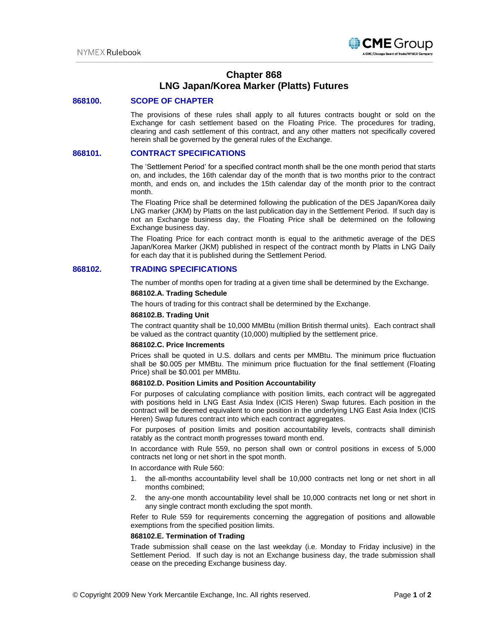

# **Chapter 868 LNG Japan/Korea Marker (Platts) Futures**

# **868100. SCOPE OF CHAPTER**

The provisions of these rules shall apply to all futures contracts bought or sold on the Exchange for cash settlement based on the Floating Price. The procedures for trading, clearing and cash settlement of this contract, and any other matters not specifically covered herein shall be governed by the general rules of the Exchange.

## **868101. CONTRACT SPECIFICATIONS**

The 'Settlement Period' for a specified contract month shall be the one month period that starts on, and includes, the 16th calendar day of the month that is two months prior to the contract month, and ends on, and includes the 15th calendar day of the month prior to the contract month.

The Floating Price shall be determined following the publication of the DES Japan/Korea daily LNG marker (JKM) by Platts on the last publication day in the Settlement Period. If such day is not an Exchange business day, the Floating Price shall be determined on the following Exchange business day.

The Floating Price for each contract month is equal to the arithmetic average of the DES Japan/Korea Marker (JKM) published in respect of the contract month by Platts in LNG Daily for each day that it is published during the Settlement Period.

## **868102. TRADING SPECIFICATIONS**

The number of months open for trading at a given time shall be determined by the Exchange.

#### **868102.A. Trading Schedule**

The hours of trading for this contract shall be determined by the Exchange.

#### **868102.B. Trading Unit**

The contract quantity shall be 10,000 MMBtu (million British thermal units). Each contract shall be valued as the contract quantity (10,000) multiplied by the settlement price.

#### **868102.C. Price Increments**

Prices shall be quoted in U.S. dollars and cents per MMBtu. The minimum price fluctuation shall be \$0.005 per MMBtu. The minimum price fluctuation for the final settlement (Floating Price) shall be \$0.001 per MMBtu.

#### **868102.D. Position Limits and Position Accountability**

For purposes of calculating compliance with position limits, each contract will be aggregated with positions held in LNG East Asia Index (ICIS Heren) Swap futures. Each position in the contract will be deemed equivalent to one position in the underlying LNG East Asia Index (ICIS Heren) Swap futures contract into which each contract aggregates.

For purposes of position limits and position accountability levels, contracts shall diminish ratably as the contract month progresses toward month end.

In accordance with Rule 559, no person shall own or control positions in excess of 5,000 contracts net long or net short in the spot month.

In accordance with Rule 560:

- 1. the all-months accountability level shall be 10,000 contracts net long or net short in all months combined;
- 2. the any-one month accountability level shall be 10,000 contracts net long or net short in any single contract month excluding the spot month.

Refer to Rule 559 for requirements concerning the aggregation of positions and allowable exemptions from the specified position limits.

#### **868102.E. Termination of Trading**

Trade submission shall cease on the last weekday (i.e. Monday to Friday inclusive) in the Settlement Period. If such day is not an Exchange business day, the trade submission shall cease on the preceding Exchange business day.